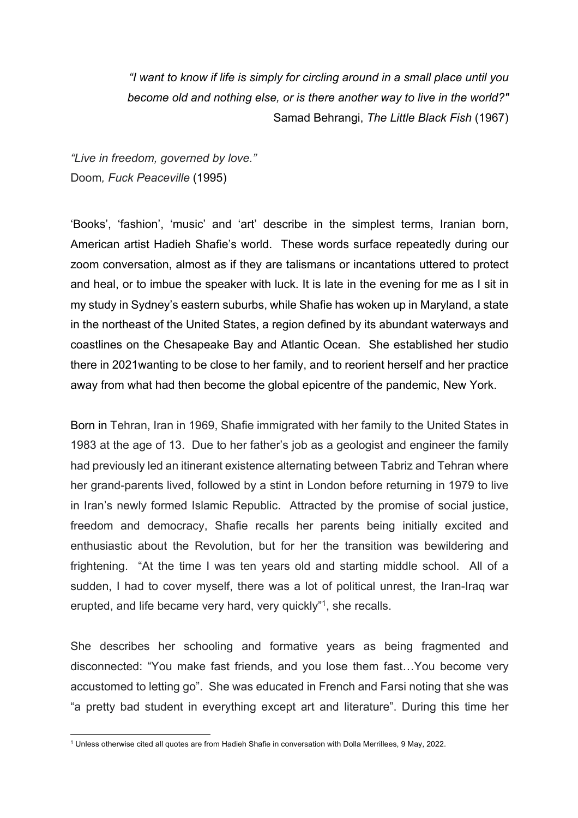*"I want to know if life is simply for circling around in a small place until you become old and nothing else, or is there another way to live in the world?"*  Samad Behrangi, *The Little Black Fish* (1967)

*"Live in freedom, governed by love."* Doom*, Fuck Peaceville* (1995)

'Books', 'fashion', 'music' and 'art' describe in the simplest terms, Iranian born, American artist Hadieh Shafie's world. These words surface repeatedly during our zoom conversation, almost as if they are talismans or incantations uttered to protect and heal, or to imbue the speaker with luck. It is late in the evening for me as I sit in my study in Sydney's eastern suburbs, while Shafie has woken up in Maryland, a state in the northeast of the United States, a region defined by its abundant waterways and coastlines on the Chesapeake Bay and Atlantic Ocean. She established her studio there in 2021wanting to be close to her family, and to reorient herself and her practice away from what had then become the global epicentre of the pandemic, New York.

Born in Tehran, Iran in 1969, Shafie immigrated with her family to the United States in 1983 at the age of 13. Due to her father's job as a geologist and engineer the family had previously led an itinerant existence alternating between Tabriz and Tehran where her grand-parents lived, followed by a stint in London before returning in 1979 to live in Iran's newly formed Islamic Republic. Attracted by the promise of social justice, freedom and democracy, Shafie recalls her parents being initially excited and enthusiastic about the Revolution, but for her the transition was bewildering and frightening. "At the time I was ten years old and starting middle school. All of a sudden, I had to cover myself, there was a lot of political unrest, the Iran-Iraq war erupted, and life became very hard, very quickly"1, she recalls.

She describes her schooling and formative years as being fragmented and disconnected: "You make fast friends, and you lose them fast…You become very accustomed to letting go". She was educated in French and Farsi noting that she was "a pretty bad student in everything except art and literature". During this time her

<sup>1</sup> Unless otherwise cited all quotes are from Hadieh Shafie in conversation with Dolla Merrillees, 9 May, 2022.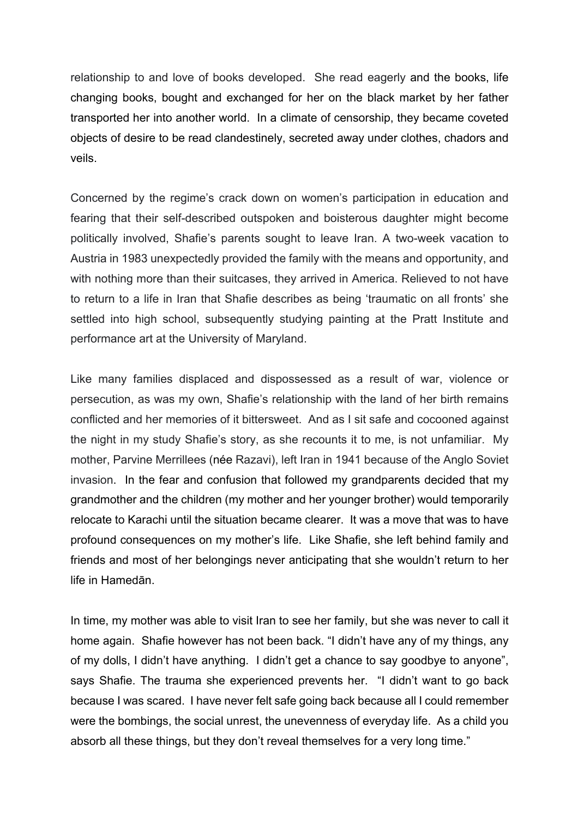relationship to and love of books developed. She read eagerly and the books, life changing books, bought and exchanged for her on the black market by her father transported her into another world. In a climate of censorship, they became coveted objects of desire to be read clandestinely, secreted away under clothes, chadors and veils.

Concerned by the regime's crack down on women's participation in education and fearing that their self-described outspoken and boisterous daughter might become politically involved, Shafie's parents sought to leave Iran. A two-week vacation to Austria in 1983 unexpectedly provided the family with the means and opportunity, and with nothing more than their suitcases, they arrived in America. Relieved to not have to return to a life in Iran that Shafie describes as being 'traumatic on all fronts' she settled into high school, subsequently studying painting at the Pratt Institute and performance art at the University of Maryland.

Like many families displaced and dispossessed as a result of war, violence or persecution, as was my own, Shafie's relationship with the land of her birth remains conflicted and her memories of it bittersweet. And as I sit safe and cocooned against the night in my study Shafie's story, as she recounts it to me, is not unfamiliar. My mother, Parvine Merrillees (née Razavi), left Iran in 1941 because of the Anglo Soviet invasion. In the fear and confusion that followed my grandparents decided that my grandmother and the children (my mother and her younger brother) would temporarily relocate to Karachi until the situation became clearer. It was a move that was to have profound consequences on my mother's life. Like Shafie, she left behind family and friends and most of her belongings never anticipating that she wouldn't return to her life in Hamedān.

In time, my mother was able to visit Iran to see her family, but she was never to call it home again. Shafie however has not been back. "I didn't have any of my things, any of my dolls, I didn't have anything. I didn't get a chance to say goodbye to anyone", says Shafie. The trauma she experienced prevents her. "I didn't want to go back because I was scared. I have never felt safe going back because all I could remember were the bombings, the social unrest, the unevenness of everyday life. As a child you absorb all these things, but they don't reveal themselves for a very long time."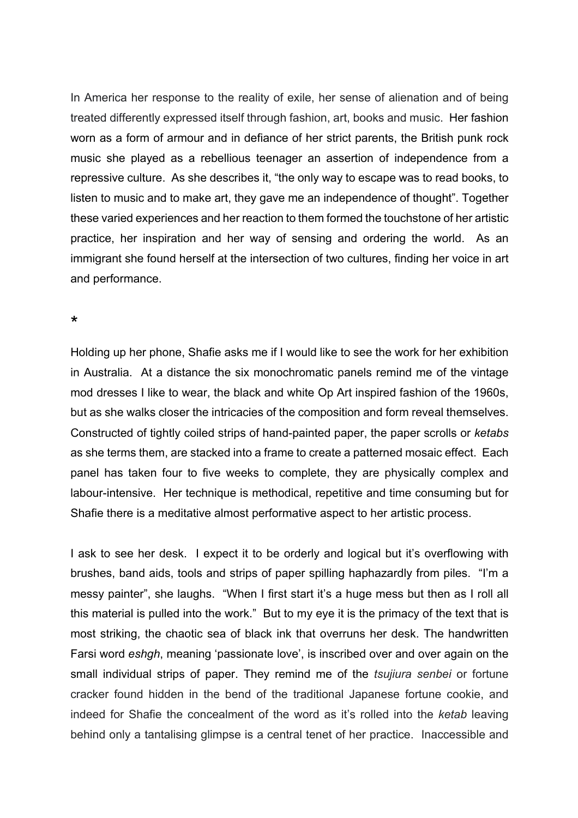In America her response to the reality of exile, her sense of alienation and of being treated differently expressed itself through fashion, art, books and music. Her fashion worn as a form of armour and in defiance of her strict parents, the British punk rock music she played as a rebellious teenager an assertion of independence from a repressive culture. As she describes it, "the only way to escape was to read books, to listen to music and to make art, they gave me an independence of thought". Together these varied experiences and her reaction to them formed the touchstone of her artistic practice, her inspiration and her way of sensing and ordering the world. As an immigrant she found herself at the intersection of two cultures, finding her voice in art and performance.

\*

Holding up her phone, Shafie asks me if I would like to see the work for her exhibition in Australia. At a distance the six monochromatic panels remind me of the vintage mod dresses I like to wear, the black and white Op Art inspired fashion of the 1960s, but as she walks closer the intricacies of the composition and form reveal themselves. Constructed of tightly coiled strips of hand-painted paper, the paper scrolls or *ketabs* as she terms them, are stacked into a frame to create a patterned mosaic effect. Each panel has taken four to five weeks to complete, they are physically complex and labour-intensive. Her technique is methodical, repetitive and time consuming but for Shafie there is a meditative almost performative aspect to her artistic process.

I ask to see her desk. I expect it to be orderly and logical but it's overflowing with brushes, band aids, tools and strips of paper spilling haphazardly from piles. "I'm a messy painter", she laughs. "When I first start it's a huge mess but then as I roll all this material is pulled into the work." But to my eye it is the primacy of the text that is most striking, the chaotic sea of black ink that overruns her desk. The handwritten Farsi word *eshgh*, meaning 'passionate love', is inscribed over and over again on the small individual strips of paper. They remind me of the *tsujiura senbei* or fortune cracker found hidden in the bend of the traditional Japanese fortune cookie, and indeed for Shafie the concealment of the word as it's rolled into the *ketab* leaving behind only a tantalising glimpse is a central tenet of her practice. Inaccessible and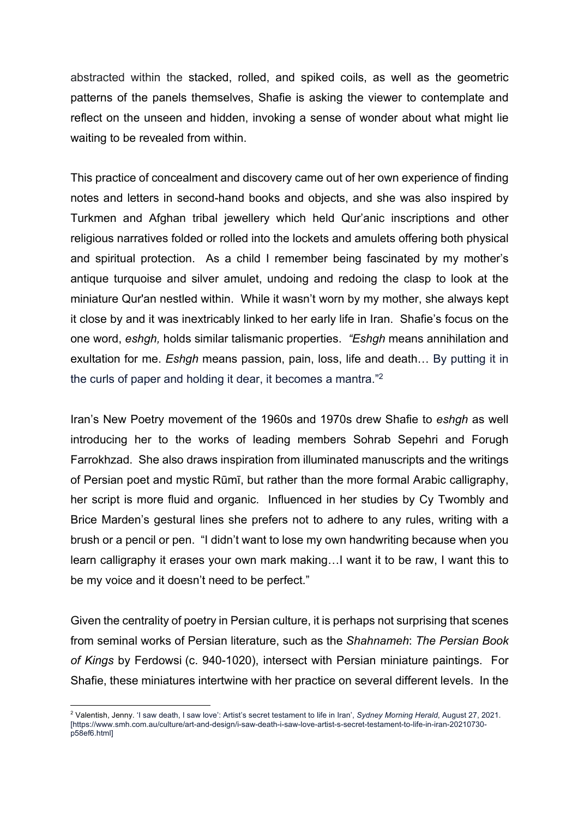abstracted within the stacked, rolled, and spiked coils, as well as the geometric patterns of the panels themselves, Shafie is asking the viewer to contemplate and reflect on the unseen and hidden, invoking a sense of wonder about what might lie waiting to be revealed from within.

This practice of concealment and discovery came out of her own experience of finding notes and letters in second-hand books and objects, and she was also inspired by Turkmen and Afghan tribal jewellery which held Qur'anic inscriptions and other religious narratives folded or rolled into the lockets and amulets offering both physical and spiritual protection. As a child I remember being fascinated by my mother's antique turquoise and silver amulet, undoing and redoing the clasp to look at the miniature Qur'an nestled within. While it wasn't worn by my mother, she always kept it close by and it was inextricably linked to her early life in Iran. Shafie's focus on the one word, *eshgh,* holds similar talismanic properties. *"Eshgh* means annihilation and exultation for me. *Eshgh* means passion, pain, loss, life and death… By putting it in the curls of paper and holding it dear, it becomes a mantra."2

Iran's New Poetry movement of the 1960s and 1970s drew Shafie to *eshgh* as well introducing her to the works of leading members Sohrab Sepehri and Forugh Farrokhzad. She also draws inspiration from illuminated manuscripts and the writings of Persian poet and mystic Rūmī, but rather than the more formal Arabic calligraphy, her script is more fluid and organic. Influenced in her studies by Cy Twombly and Brice Marden's gestural lines she prefers not to adhere to any rules, writing with a brush or a pencil or pen. "I didn't want to lose my own handwriting because when you learn calligraphy it erases your own mark making…I want it to be raw, I want this to be my voice and it doesn't need to be perfect."

Given the centrality of poetry in Persian culture, it is perhaps not surprising that scenes from seminal works of Persian literature, such as the *Shahnameh*: *The Persian Book of Kings* by Ferdowsi (c. 940-1020), intersect with Persian miniature paintings. For Shafie, these miniatures intertwine with her practice on several different levels. In the

<sup>2</sup> Valentish, Jenny. 'I saw death, I saw love': Artist's secret testament to life in Iran', *Sydney Morning Herald*, August 27, 2021. [https://www.smh.com.au/culture/art-and-design/i-saw-death-i-saw-love-artist-s-secret-testament-to-life-in-iran-20210730 p58ef6.html]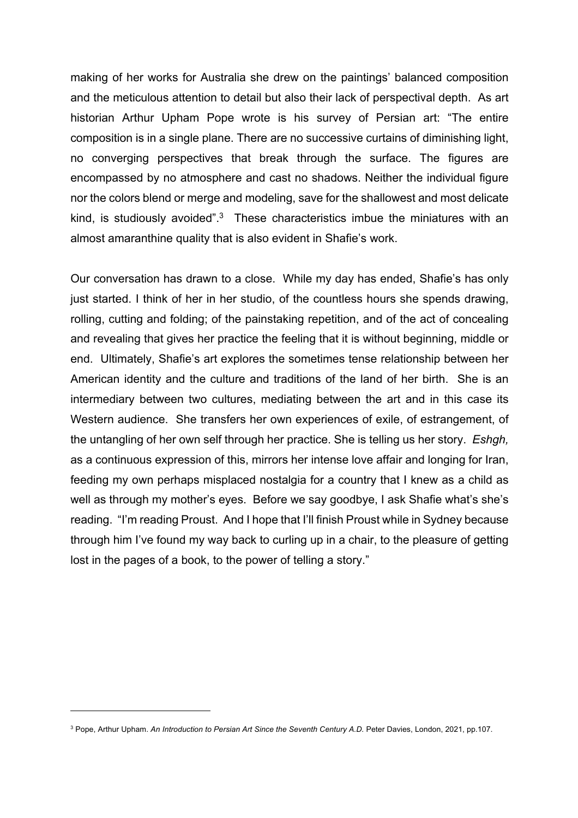making of her works for Australia she drew on the paintings' balanced composition and the meticulous attention to detail but also their lack of perspectival depth. As art historian Arthur Upham Pope wrote is his survey of Persian art: "The entire composition is in a single plane. There are no successive curtains of diminishing light, no converging perspectives that break through the surface. The figures are encompassed by no atmosphere and cast no shadows. Neither the individual figure nor the colors blend or merge and modeling, save for the shallowest and most delicate kind, is studiously avoided". $3$  These characteristics imbue the miniatures with an almost amaranthine quality that is also evident in Shafie's work.

Our conversation has drawn to a close. While my day has ended, Shafie's has only just started. I think of her in her studio, of the countless hours she spends drawing, rolling, cutting and folding; of the painstaking repetition, and of the act of concealing and revealing that gives her practice the feeling that it is without beginning, middle or end. Ultimately, Shafie's art explores the sometimes tense relationship between her American identity and the culture and traditions of the land of her birth. She is an intermediary between two cultures, mediating between the art and in this case its Western audience. She transfers her own experiences of exile, of estrangement, of the untangling of her own self through her practice. She is telling us her story. *Eshgh,* as a continuous expression of this, mirrors her intense love affair and longing for Iran, feeding my own perhaps misplaced nostalgia for a country that I knew as a child as well as through my mother's eyes. Before we say goodbye, I ask Shafie what's she's reading. "I'm reading Proust. And I hope that I'll finish Proust while in Sydney because through him I've found my way back to curling up in a chair, to the pleasure of getting lost in the pages of a book, to the power of telling a story."

<sup>3</sup> Pope, Arthur Upham. *An Introduction to Persian Art Since the Seventh Century A.D.* Peter Davies, London, 2021, pp.107.